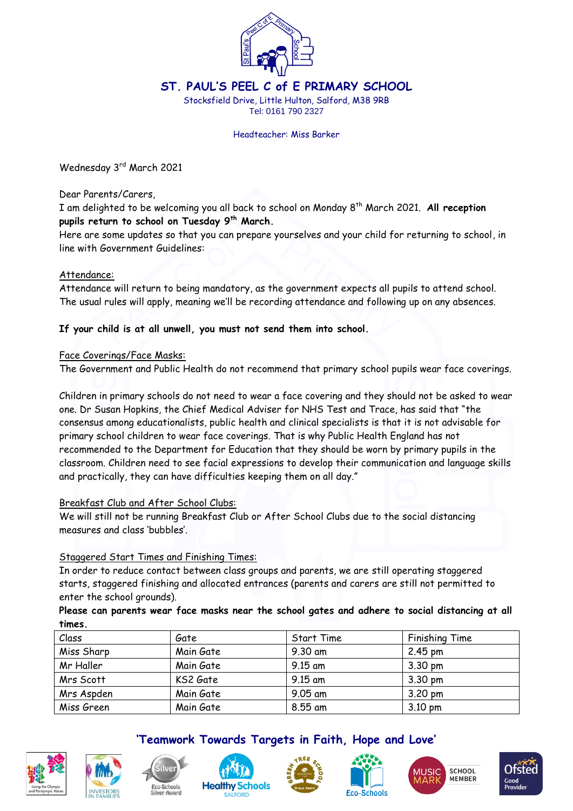

## **ST. PAUL'S PEEL C of E PRIMARY SCHOOL**

Stocksfield Drive, Little Hulton, Salford, M38 9RB Tel: 0161 790 2327

Headteacher: Miss Barker

Wednesday 3rd March 2021

Dear Parents/Carers,

I am delighted to be welcoming you all back to school on Monday 8 th March 2021. **All reception pupils return to school on Tuesday 9th March.**

Here are some updates so that you can prepare yourselves and your child for returning to school, in line with Government Guidelines:

## Attendance:

Attendance will return to being mandatory, as the government expects all pupils to attend school. The usual rules will apply, meaning we'll be recording attendance and following up on any absences.

## **If your child is at all unwell, you must not send them into school.**

## Face Coverings/Face Masks:

The Government and Public Health do not recommend that primary school pupils wear face coverings.

Children in primary schools do not need to wear a face covering and they should not be asked to wear one. Dr Susan Hopkins, the Chief Medical Adviser for NHS Test and Trace, has said that "the consensus among educationalists, public health and clinical specialists is that it is not advisable for primary school children to wear face coverings. That is why Public Health England has not recommended to the Department for Education that they should be worn by primary pupils in the classroom. Children need to see facial expressions to develop their communication and language skills and practically, they can have difficulties keeping them on all day."

## Breakfast Club and After School Clubs:

We will still not be running Breakfast Club or After School Clubs due to the social distancing measures and class 'bubbles'.

## Staggered Start Times and Finishing Times:

In order to reduce contact between class groups and parents, we are still operating staggered starts, staggered finishing and allocated entrances (parents and carers are still not permitted to enter the school grounds).

**Please can parents wear face masks near the school gates and adhere to social distancing at all times.**

| Class      | Gate      | Start Time | Finishing Time    |
|------------|-----------|------------|-------------------|
| Miss Sharp | Main Gate | 9.30 am    | $2.45 \text{ pm}$ |
| Mr Haller  | Main Gate | $9.15$ am  | $3.30 \text{ pm}$ |
| Mrs Scott  | KS2 Gate  | $9.15$ am  | $3.30 \text{ pm}$ |
| Mrs Aspden | Main Gate | 9.05 am    | $3.20 \text{ pm}$ |
| Miss Green | Main Gate | 8.55 am    | $3.10 \text{ pm}$ |













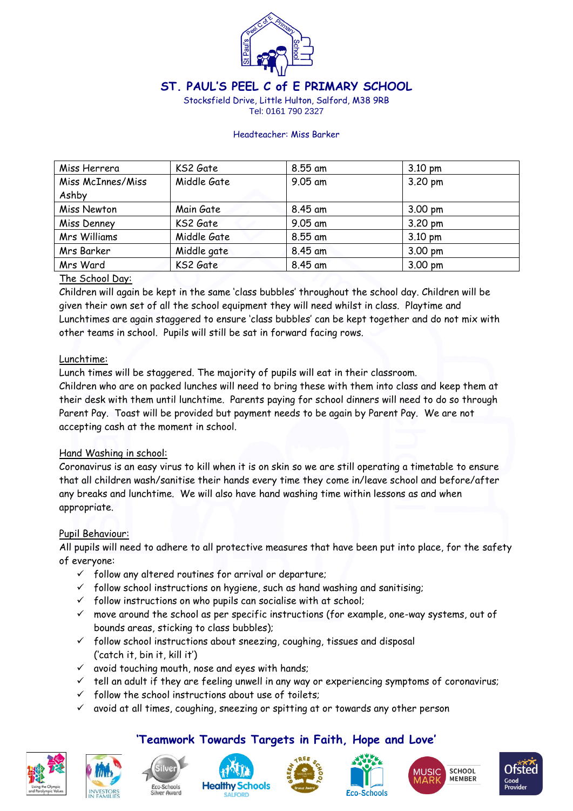

# **ST. PAUL'S PEEL C of E PRIMARY SCHOOL**

Stocksfield Drive, Little Hulton, Salford, M38 9RB Tel: 0161 790 2327

#### Headteacher: Miss Barker

| Miss Herrera      | KS2 Gate    | 8.55 am | $3.10 \text{ pm}$ |
|-------------------|-------------|---------|-------------------|
| Miss McInnes/Miss | Middle Gate | 9.05 am | 3.20 pm           |
| Ashby             |             |         |                   |
| Miss Newton       | Main Gate   | 8.45 am | $3.00 \text{ pm}$ |
| Miss Denney       | KS2 Gate    | 9.05 am | 3.20 pm           |
| Mrs Williams      | Middle Gate | 8.55 am | $3.10 \text{ pm}$ |
| Mrs Barker        | Middle gate | 8.45 am | 3.00 pm           |
| Mrs Ward          | KS2 Gate    | 8.45 am | 3.00 pm           |

## The School Day:

Children will again be kept in the same 'class bubbles' throughout the school day. Children will be given their own set of all the school equipment they will need whilst in class. Playtime and Lunchtimes are again staggered to ensure 'class bubbles' can be kept together and do not mix with other teams in school. Pupils will still be sat in forward facing rows.

## Lunchtime:

Lunch times will be staggered. The majority of pupils will eat in their classroom.

Children who are on packed lunches will need to bring these with them into class and keep them at their desk with them until lunchtime. Parents paying for school dinners will need to do so through Parent Pay. Toast will be provided but payment needs to be again by Parent Pay. We are not accepting cash at the moment in school.

## Hand Washing in school:

Coronavirus is an easy virus to kill when it is on skin so we are still operating a timetable to ensure that all children wash/sanitise their hands every time they come in/leave school and before/after any breaks and lunchtime. We will also have hand washing time within lessons as and when appropriate.

## Pupil Behaviour:

All pupils will need to adhere to all protective measures that have been put into place, for the safety of everyone:

- $\checkmark$  follow any altered routines for arrival or departure;
- $\checkmark$  follow school instructions on hygiene, such as hand washing and sanitising;
- $\checkmark$  follow instructions on who pupils can socialise with at school;
- $\checkmark$  move around the school as per specific instructions (for example, one-way systems, out of bounds areas, sticking to class bubbles);
- $\checkmark$  follow school instructions about sneezing, coughing, tissues and disposal ('catch it, bin it, kill it')
- $\checkmark$  avoid touching mouth, nose and eyes with hands;
- $\checkmark$  tell an adult if they are feeling unwell in any way or experiencing symptoms of coronavirus;

**'Teamwork Towards Targets in Faith, Hope and Love'**

- $\checkmark$  follow the school instructions about use of toilets;
- $\checkmark$  avoid at all times, coughing, sneezing or spitting at or towards any other person